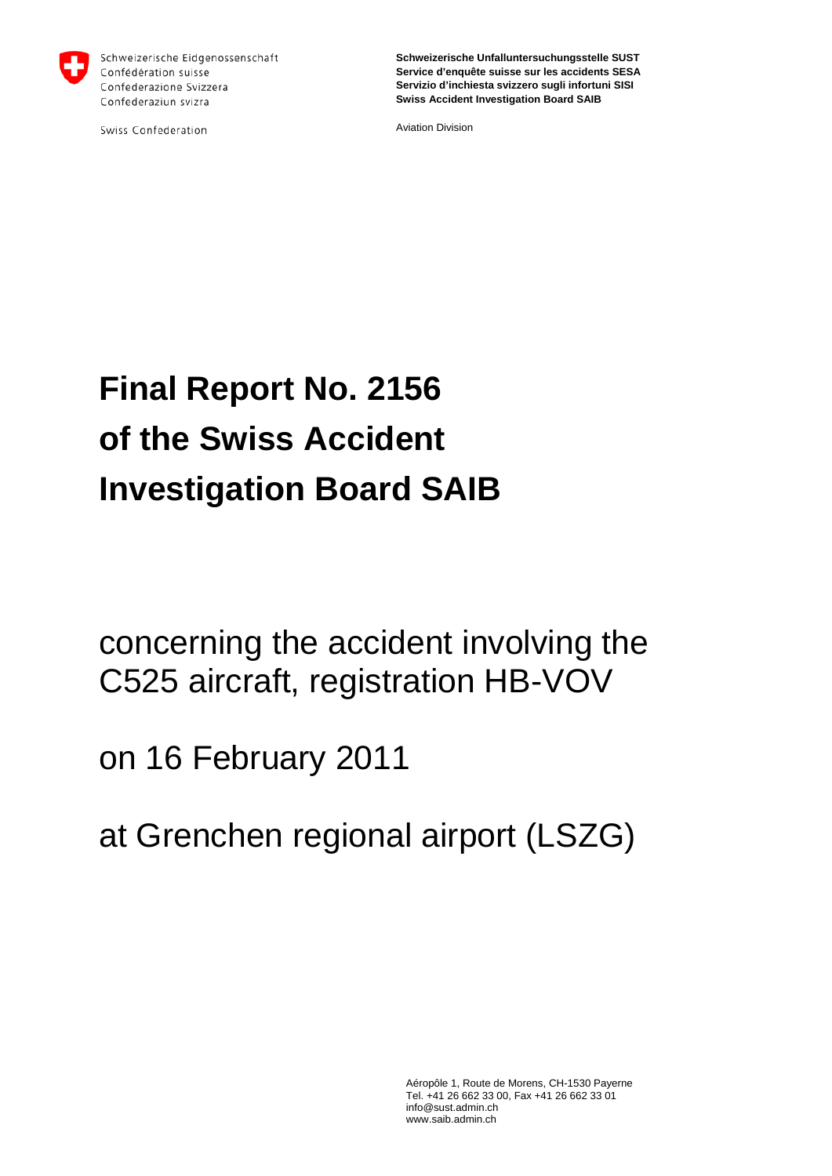

Schweizerische Eidgenossenschaft Confédération suisse Confederazione Svizzera Confederaziun svizra

Swiss Confederation

**Schweizerische Unfalluntersuchungsstelle SUST Service d'enquête suisse sur les accidents SESA Servizio d'inchiesta svizzero sugli infortuni SISI Swiss Accident Investigation Board SAIB**

Aviation Division

# **Final Report No. 2156 of the Swiss Accident Investigation Board SAIB**

concerning the accident involving the C525 aircraft, registration HB-VOV

on 16 February 2011

at Grenchen regional airport (LSZG)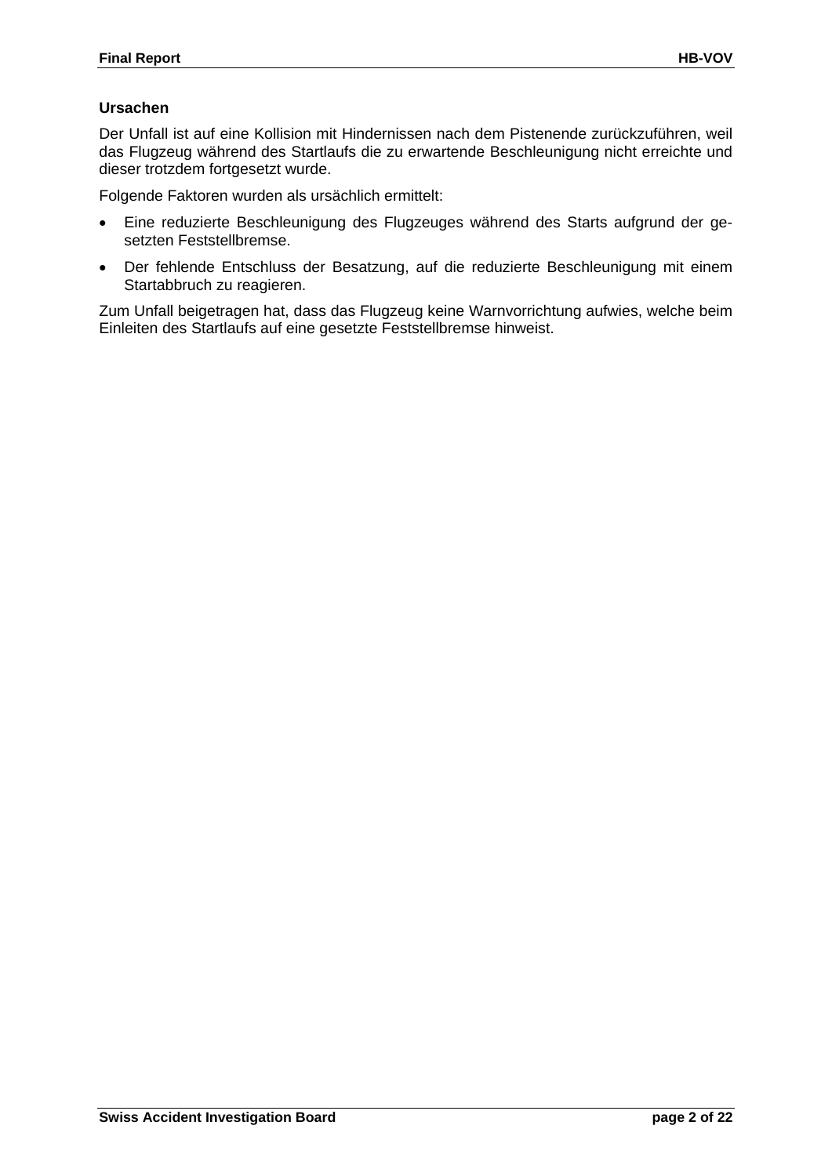### **Ursachen**

Der Unfall ist auf eine Kollision mit Hindernissen nach dem Pistenende zurückzuführen, weil das Flugzeug während des Startlaufs die zu erwartende Beschleunigung nicht erreichte und dieser trotzdem fortgesetzt wurde.

Folgende Faktoren wurden als ursächlich ermittelt:

- Eine reduzierte Beschleunigung des Flugzeuges während des Starts aufgrund der gesetzten Feststellbremse.
- Der fehlende Entschluss der Besatzung, auf die reduzierte Beschleunigung mit einem Startabbruch zu reagieren.

Zum Unfall beigetragen hat, dass das Flugzeug keine Warnvorrichtung aufwies, welche beim Einleiten des Startlaufs auf eine gesetzte Feststellbremse hinweist.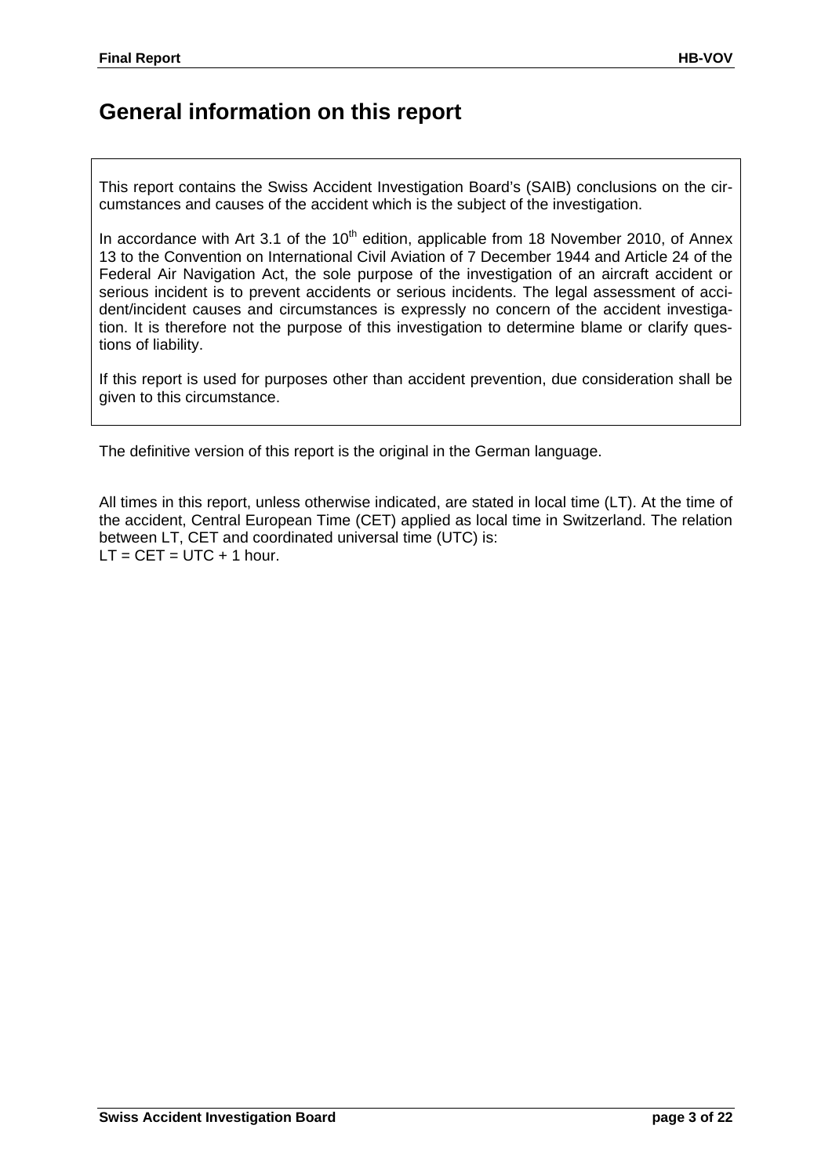## **General information on this report**

This report contains the Swiss Accident Investigation Board's (SAIB) conclusions on the circumstances and causes of the accident which is the subject of the investigation.

In accordance with Art 3.1 of the  $10<sup>th</sup>$  edition, applicable from 18 November 2010, of Annex 13 to the Convention on International Civil Aviation of 7 December 1944 and Article 24 of the Federal Air Navigation Act, the sole purpose of the investigation of an aircraft accident or serious incident is to prevent accidents or serious incidents. The legal assessment of accident/incident causes and circumstances is expressly no concern of the accident investigation. It is therefore not the purpose of this investigation to determine blame or clarify questions of liability.

If this report is used for purposes other than accident prevention, due consideration shall be given to this circumstance.

The definitive version of this report is the original in the German language.

All times in this report, unless otherwise indicated, are stated in local time (LT). At the time of the accident, Central European Time (CET) applied as local time in Switzerland. The relation between LT, CET and coordinated universal time (UTC) is:  $LT = CET = UTC + 1 hour.$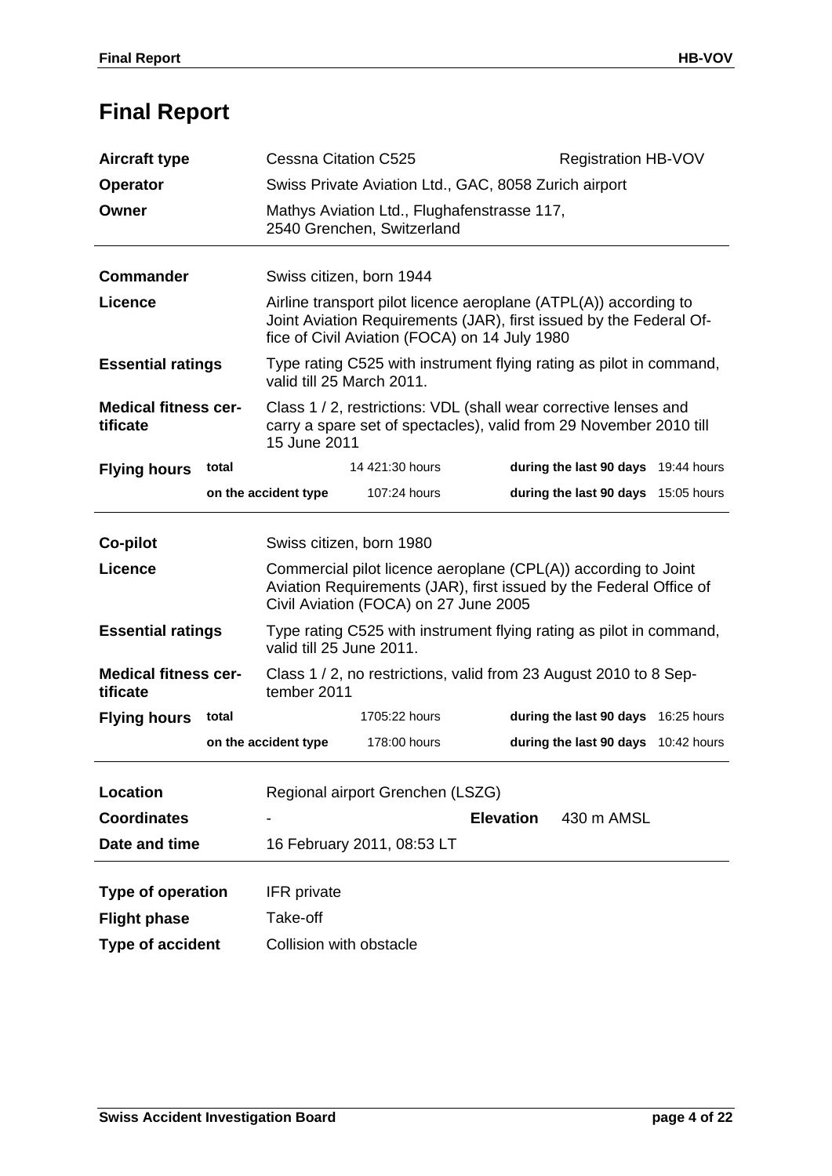# **Final Report**

| <b>Aircraft type</b>                                                                                                                                                                              | <b>Cessna Citation C525</b>                                                                                                                                                             |                                                                                                 | <b>Registration HB-VOV</b>                                                                                                           |  |
|---------------------------------------------------------------------------------------------------------------------------------------------------------------------------------------------------|-----------------------------------------------------------------------------------------------------------------------------------------------------------------------------------------|-------------------------------------------------------------------------------------------------|--------------------------------------------------------------------------------------------------------------------------------------|--|
| <b>Operator</b>                                                                                                                                                                                   | Swiss Private Aviation Ltd., GAC, 8058 Zurich airport                                                                                                                                   |                                                                                                 |                                                                                                                                      |  |
| Owner                                                                                                                                                                                             |                                                                                                                                                                                         | Mathys Aviation Ltd., Flughafenstrasse 117,<br>2540 Grenchen, Switzerland                       |                                                                                                                                      |  |
| <b>Commander</b>                                                                                                                                                                                  | Swiss citizen, born 1944                                                                                                                                                                |                                                                                                 |                                                                                                                                      |  |
| <b>Licence</b>                                                                                                                                                                                    | Airline transport pilot licence aeroplane (ATPL(A)) according to<br>Joint Aviation Requirements (JAR), first issued by the Federal Of-<br>fice of Civil Aviation (FOCA) on 14 July 1980 |                                                                                                 |                                                                                                                                      |  |
| <b>Essential ratings</b>                                                                                                                                                                          | Type rating C525 with instrument flying rating as pilot in command,<br>valid till 25 March 2011.                                                                                        |                                                                                                 |                                                                                                                                      |  |
| <b>Medical fitness cer-</b><br>Class 1 / 2, restrictions: VDL (shall wear corrective lenses and<br>carry a spare set of spectacles), valid from 29 November 2010 till<br>tificate<br>15 June 2011 |                                                                                                                                                                                         |                                                                                                 |                                                                                                                                      |  |
| total<br><b>Flying hours</b>                                                                                                                                                                      |                                                                                                                                                                                         | 14 421:30 hours                                                                                 | during the last 90 days 19:44 hours                                                                                                  |  |
|                                                                                                                                                                                                   | on the accident type                                                                                                                                                                    | 107:24 hours                                                                                    | during the last 90 days 15:05 hours                                                                                                  |  |
|                                                                                                                                                                                                   |                                                                                                                                                                                         |                                                                                                 |                                                                                                                                      |  |
| Co-pilot                                                                                                                                                                                          |                                                                                                                                                                                         | Swiss citizen, born 1980                                                                        |                                                                                                                                      |  |
| <b>Licence</b>                                                                                                                                                                                    |                                                                                                                                                                                         | Civil Aviation (FOCA) on 27 June 2005                                                           | Commercial pilot licence aeroplane (CPL(A)) according to Joint<br>Aviation Requirements (JAR), first issued by the Federal Office of |  |
| <b>Essential ratings</b>                                                                                                                                                                          |                                                                                                                                                                                         | Type rating C525 with instrument flying rating as pilot in command,<br>valid till 25 June 2011. |                                                                                                                                      |  |
| <b>Medical fitness cer-</b><br>tificate                                                                                                                                                           |                                                                                                                                                                                         | Class 1 / 2, no restrictions, valid from 23 August 2010 to 8 Sep-<br>tember 2011                |                                                                                                                                      |  |
| total<br><b>Flying hours</b>                                                                                                                                                                      |                                                                                                                                                                                         | 1705:22 hours                                                                                   | during the last 90 days 16:25 hours                                                                                                  |  |
|                                                                                                                                                                                                   | on the accident type                                                                                                                                                                    | 178:00 hours                                                                                    | during the last 90 days 10:42 hours                                                                                                  |  |
|                                                                                                                                                                                                   |                                                                                                                                                                                         |                                                                                                 |                                                                                                                                      |  |
| <b>Location</b>                                                                                                                                                                                   |                                                                                                                                                                                         | Regional airport Grenchen (LSZG)                                                                |                                                                                                                                      |  |
| <b>Coordinates</b>                                                                                                                                                                                |                                                                                                                                                                                         |                                                                                                 | <b>Elevation</b><br>430 m AMSL                                                                                                       |  |
| Date and time                                                                                                                                                                                     |                                                                                                                                                                                         | 16 February 2011, 08:53 LT                                                                      |                                                                                                                                      |  |
|                                                                                                                                                                                                   |                                                                                                                                                                                         |                                                                                                 |                                                                                                                                      |  |
| Type of operation                                                                                                                                                                                 | <b>IFR</b> private                                                                                                                                                                      |                                                                                                 |                                                                                                                                      |  |
| <b>Flight phase</b>                                                                                                                                                                               | Take-off                                                                                                                                                                                |                                                                                                 |                                                                                                                                      |  |
| <b>Type of accident</b>                                                                                                                                                                           |                                                                                                                                                                                         | Collision with obstacle                                                                         |                                                                                                                                      |  |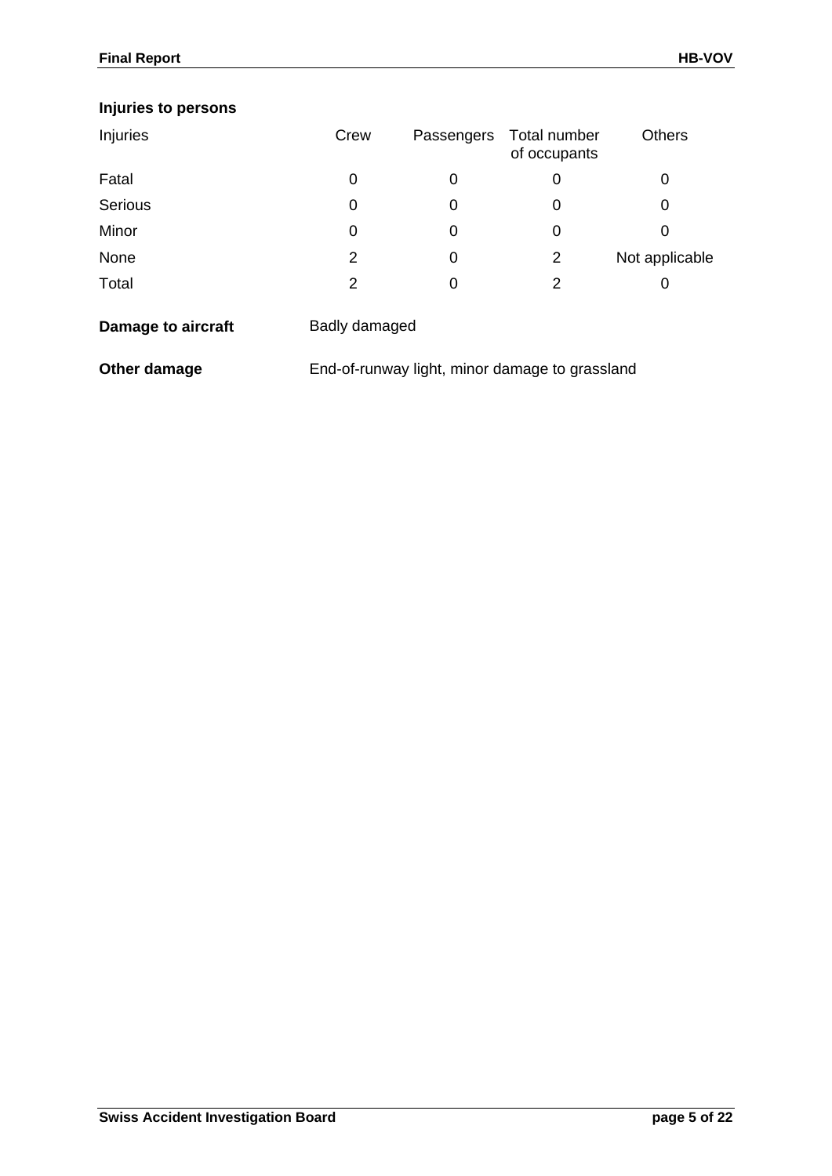## **Injuries to persons**

| Injuries | Crew | Passengers | Total number<br>of occupants | <b>Others</b>  |
|----------|------|------------|------------------------------|----------------|
| Fatal    | 0    | 0          | 0                            | 0              |
| Serious  | 0    | 0          | 0                            | 0              |
| Minor    | 0    | O          | 0                            | 0              |
| None     | 2    | 0          | 2                            | Not applicable |
| Total    | 2    | 0          | 2                            |                |

| Damage to aircraft | Badly damaged |
|--------------------|---------------|
|                    |               |

**Other damage** End-of-runway light, minor damage to grassland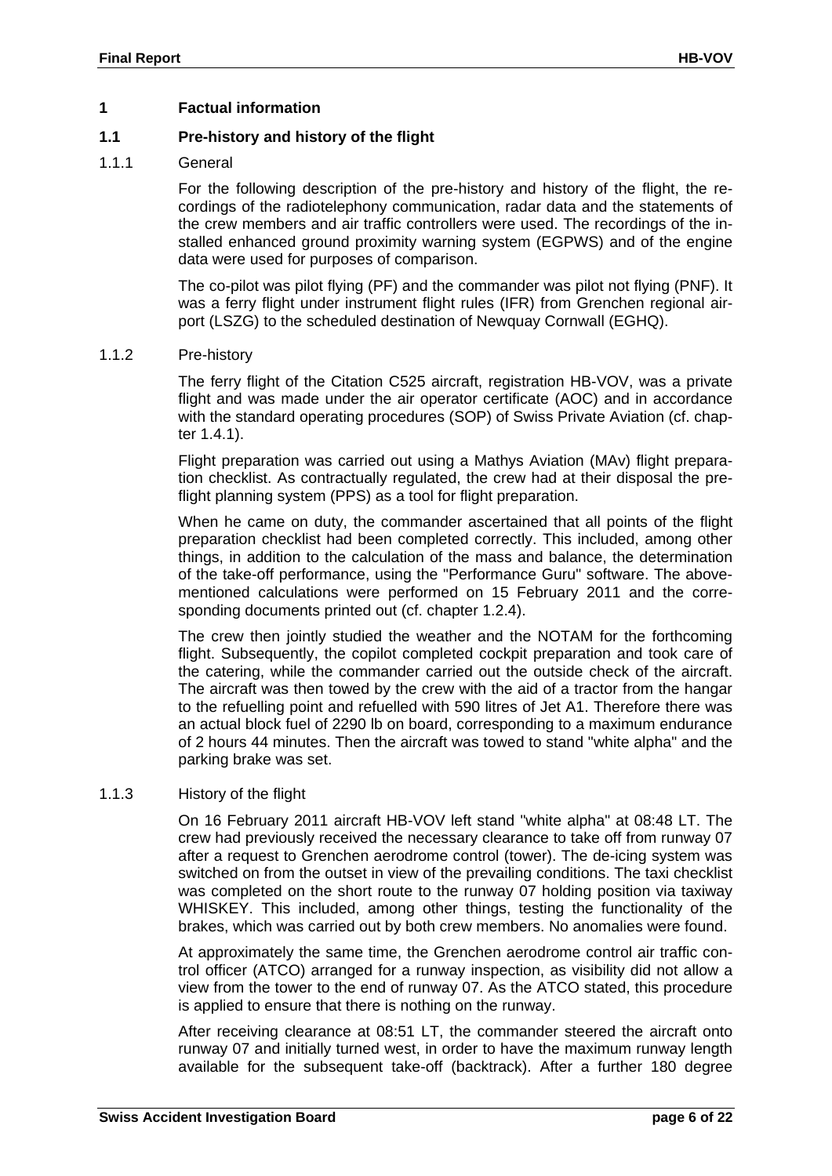#### **1 Factual information**

#### **1.1 Pre-history and history of the flight**

#### 1.1.1 General

For the following description of the pre-history and history of the flight, the recordings of the radiotelephony communication, radar data and the statements of the crew members and air traffic controllers were used. The recordings of the installed enhanced ground proximity warning system (EGPWS) and of the engine data were used for purposes of comparison.

The co-pilot was pilot flying (PF) and the commander was pilot not flying (PNF). It was a ferry flight under instrument flight rules (IFR) from Grenchen regional airport (LSZG) to the scheduled destination of Newquay Cornwall (EGHQ).

#### 1.1.2 Pre-history

The ferry flight of the Citation C525 aircraft, registration HB-VOV, was a private flight and was made under the air operator certificate (AOC) and in accordance with the standard operating procedures (SOP) of Swiss Private Aviation (cf. chapter [1.4.1\)](#page-13-0).

Flight preparation was carried out using a Mathys Aviation (MAv) flight preparation checklist. As contractually regulated, the crew had at their disposal the preflight planning system (PPS) as a tool for flight preparation.

When he came on duty, the commander ascertained that all points of the flight preparation checklist had been completed correctly. This included, among other things, in addition to the calculation of the mass and balance, the determination of the take-off performance, using the "Performance Guru" software. The abovementioned calculations were performed on 15 February 2011 and the corresponding documents printed out (cf. chapter 1.2.4).

The crew then jointly studied the weather and the NOTAM for the forthcoming flight. Subsequently, the copilot completed cockpit preparation and took care of the catering, while the commander carried out the outside check of the aircraft. The aircraft was then towed by the crew with the aid of a tractor from the hangar to the refuelling point and refuelled with 590 litres of Jet A1. Therefore there was an actual block fuel of 2290 lb on board, corresponding to a maximum endurance of 2 hours 44 minutes. Then the aircraft was towed to stand "white alpha" and the parking brake was set.

#### 1.1.3 History of the flight

On 16 February 2011 aircraft HB-VOV left stand "white alpha" at 08:48 LT. The crew had previously received the necessary clearance to take off from runway 07 after a request to Grenchen aerodrome control (tower). The de-icing system was switched on from the outset in view of the prevailing conditions. The taxi checklist was completed on the short route to the runway 07 holding position via taxiway WHISKEY. This included, among other things, testing the functionality of the brakes, which was carried out by both crew members. No anomalies were found.

At approximately the same time, the Grenchen aerodrome control air traffic control officer (ATCO) arranged for a runway inspection, as visibility did not allow a view from the tower to the end of runway 07. As the ATCO stated, this procedure is applied to ensure that there is nothing on the runway.

After receiving clearance at 08:51 LT, the commander steered the aircraft onto runway 07 and initially turned west, in order to have the maximum runway length available for the subsequent take-off (backtrack). After a further 180 degree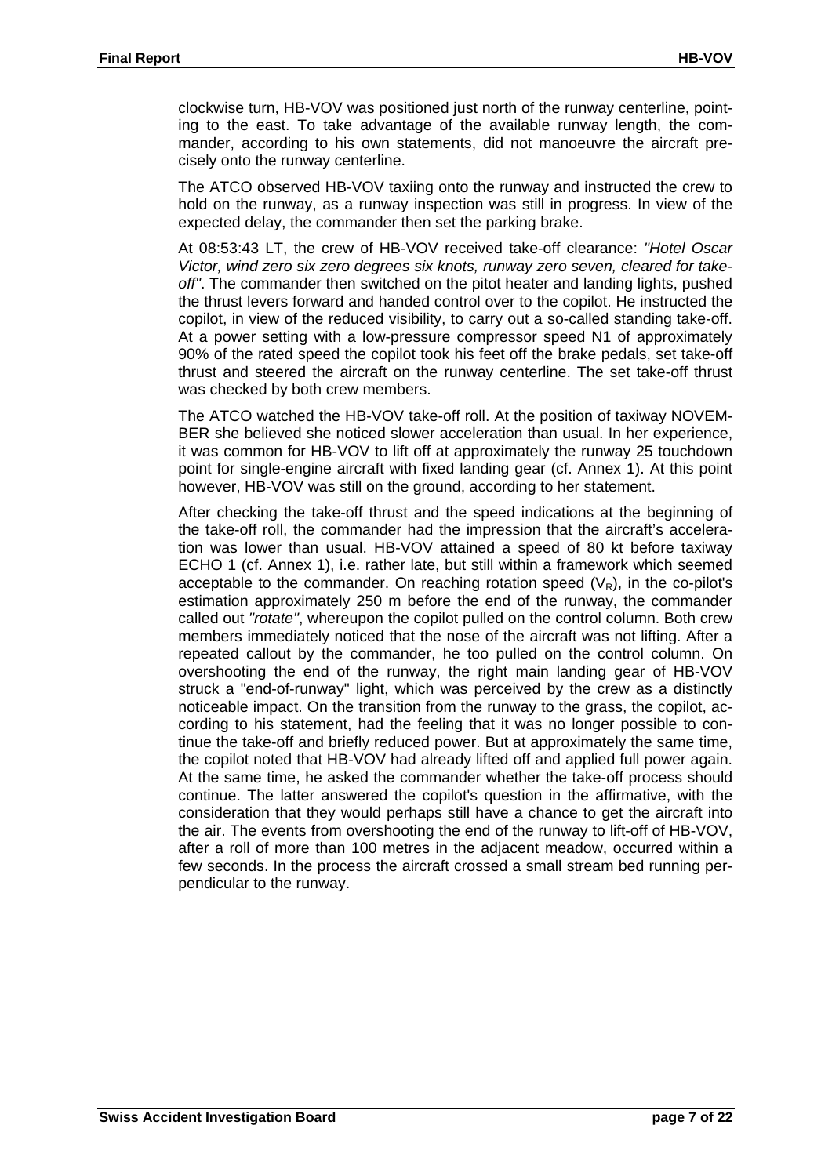clockwise turn, HB-VOV was positioned just north of the runway centerline, pointing to the east. To take advantage of the available runway length, the commander, according to his own statements, did not manoeuvre the aircraft precisely onto the runway centerline.

The ATCO observed HB-VOV taxiing onto the runway and instructed the crew to hold on the runway, as a runway inspection was still in progress. In view of the expected delay, the commander then set the parking brake.

At 08:53:43 LT, the crew of HB-VOV received take-off clearance: *"Hotel Oscar Victor, wind zero six zero degrees six knots, runway zero seven, cleared for takeoff"*. The commander then switched on the pitot heater and landing lights, pushed the thrust levers forward and handed control over to the copilot. He instructed the copilot, in view of the reduced visibility, to carry out a so-called standing take-off. At a power setting with a low-pressure compressor speed N1 of approximately 90% of the rated speed the copilot took his feet off the brake pedals, set take-off thrust and steered the aircraft on the runway centerline. The set take-off thrust was checked by both crew members.

The ATCO watched the HB-VOV take-off roll. At the position of taxiway NOVEM-BER she believed she noticed slower acceleration than usual. In her experience, it was common for HB-VOV to lift off at approximately the runway 25 touchdown point for single-engine aircraft with fixed landing gear (cf. [Annex 1\)](#page-21-0). At this point however, HB-VOV was still on the ground, according to her statement.

After checking the take-off thrust and the speed indications at the beginning of the take-off roll, the commander had the impression that the aircraft's acceleration was lower than usual. HB-VOV attained a speed of 80 kt before taxiway ECHO 1 (cf. [Annex 1\)](#page-21-0), i.e. rather late, but still within a framework which seemed acceptable to the commander. On reaching rotation speed  $(V_R)$ , in the co-pilot's estimation approximately 250 m before the end of the runway, the commander called out *"rotate"*, whereupon the copilot pulled on the control column. Both crew members immediately noticed that the nose of the aircraft was not lifting. After a repeated callout by the commander, he too pulled on the control column. On overshooting the end of the runway, the right main landing gear of HB-VOV struck a "end-of-runway" light, which was perceived by the crew as a distinctly noticeable impact. On the transition from the runway to the grass, the copilot, according to his statement, had the feeling that it was no longer possible to continue the take-off and briefly reduced power. But at approximately the same time, the copilot noted that HB-VOV had already lifted off and applied full power again. At the same time, he asked the commander whether the take-off process should continue. The latter answered the copilot's question in the affirmative, with the consideration that they would perhaps still have a chance to get the aircraft into the air. The events from overshooting the end of the runway to lift-off of HB-VOV, after a roll of more than 100 metres in the adjacent meadow, occurred within a few seconds. In the process the aircraft crossed a small stream bed running perpendicular to the runway.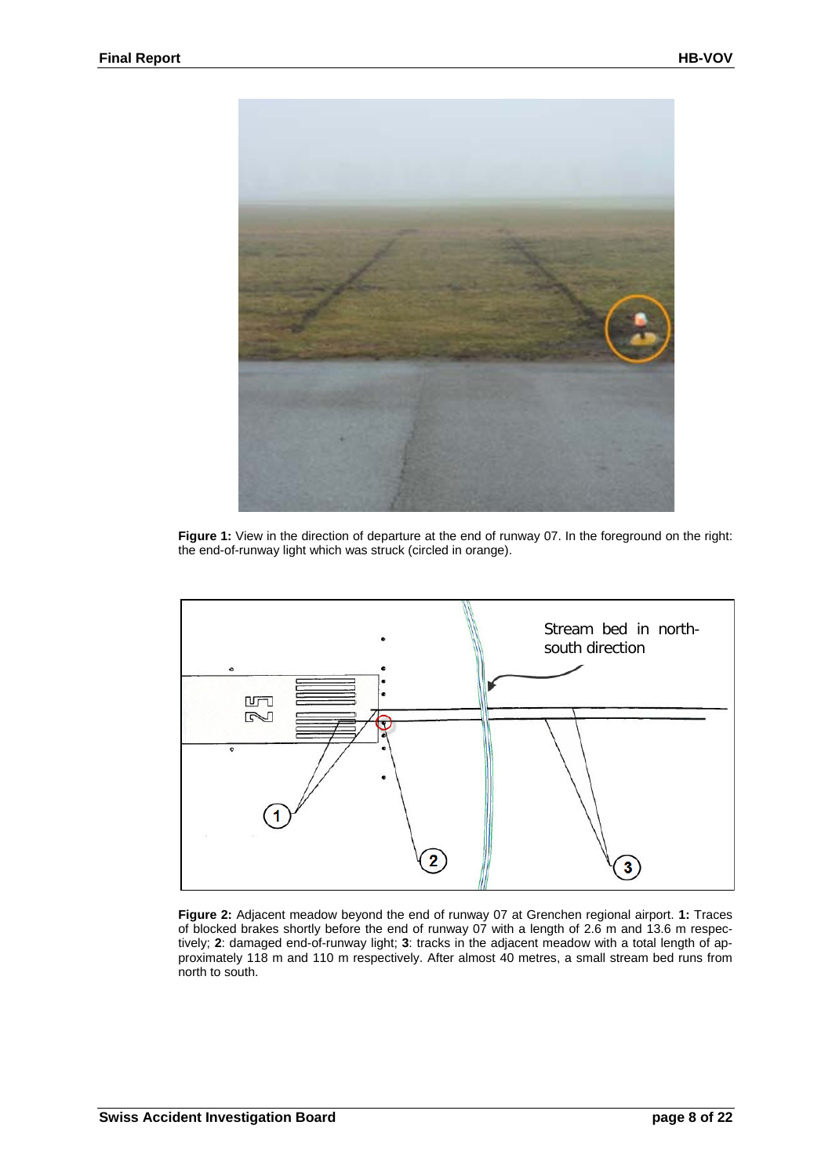

**Figure 1:** View in the direction of departure at the end of runway 07. In the foreground on the right: the end-of-runway light which was struck (circled in orange).



**Figure 2:** Adjacent meadow beyond the end of runway 07 at Grenchen regional airport. **1:** Traces of blocked brakes shortly before the end of runway 07 with a length of 2.6 m and 13.6 m respectively; **2**: damaged end-of-runway light; **3**: tracks in the adjacent meadow with a total length of approximately 118 m and 110 m respectively. After almost 40 metres, a small stream bed runs from north to south.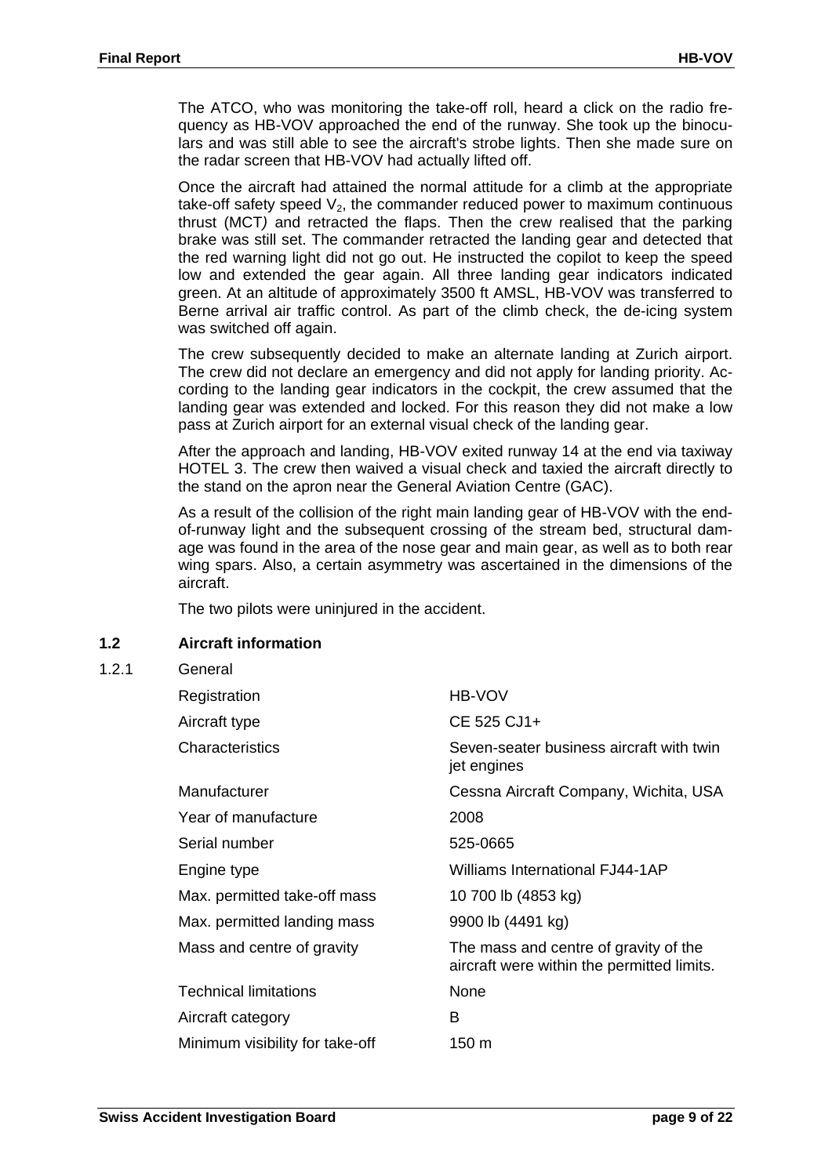The ATCO, who was monitoring the take-off roll, heard a click on the radio frequency as HB-VOV approached the end of the runway. She took up the binoculars and was still able to see the aircraft's strobe lights. Then she made sure on the radar screen that HB-VOV had actually lifted off.

Once the aircraft had attained the normal attitude for a climb at the appropriate take-off safety speed  $V_2$ , the commander reduced power to maximum continuous thrust (MCT*)* and retracted the flaps. Then the crew realised that the parking brake was still set. The commander retracted the landing gear and detected that the red warning light did not go out. He instructed the copilot to keep the speed low and extended the gear again. All three landing gear indicators indicated green. At an altitude of approximately 3500 ft AMSL, HB-VOV was transferred to Berne arrival air traffic control. As part of the climb check, the de-icing system was switched off again.

The crew subsequently decided to make an alternate landing at Zurich airport. The crew did not declare an emergency and did not apply for landing priority. According to the landing gear indicators in the cockpit, the crew assumed that the landing gear was extended and locked. For this reason they did not make a low pass at Zurich airport for an external visual check of the landing gear.

After the approach and landing, HB-VOV exited runway 14 at the end via taxiway HOTEL 3. The crew then waived a visual check and taxied the aircraft directly to the stand on the apron near the General Aviation Centre (GAC).

As a result of the collision of the right main landing gear of HB-VOV with the endof-runway light and the subsequent crossing of the stream bed, structural damage was found in the area of the nose gear and main gear, as well as to both rear wing spars. Also, a certain asymmetry was ascertained in the dimensions of the aircraft.

The two pilots were uninjured in the accident.

#### **1.2 Aircraft information**

 $1.2.1$ 

| General                         |                                                                                     |
|---------------------------------|-------------------------------------------------------------------------------------|
| Registration                    | HB-VOV                                                                              |
| Aircraft type                   | CE 525 CJ1+                                                                         |
| Characteristics                 | Seven-seater business aircraft with twin<br>jet engines                             |
| Manufacturer                    | Cessna Aircraft Company, Wichita, USA                                               |
| Year of manufacture             | 2008                                                                                |
| Serial number                   | 525-0665                                                                            |
| Engine type                     | <b>Williams International FJ44-1AP</b>                                              |
| Max. permitted take-off mass    | 10 700 lb (4853 kg)                                                                 |
| Max. permitted landing mass     | 9900 lb (4491 kg)                                                                   |
| Mass and centre of gravity      | The mass and centre of gravity of the<br>aircraft were within the permitted limits. |
| <b>Technical limitations</b>    | None                                                                                |
| Aircraft category               | B                                                                                   |
| Minimum visibility for take-off | 150 m                                                                               |
|                                 |                                                                                     |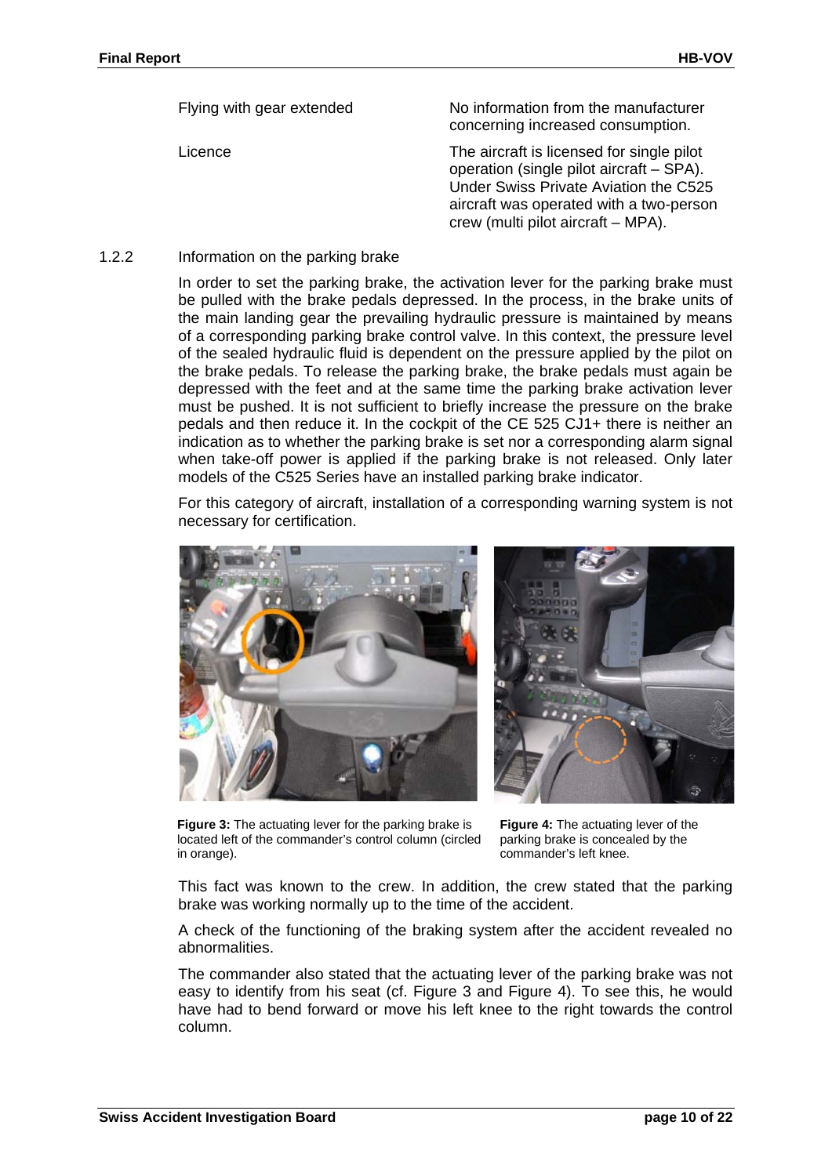| Flying with gear extended | No information from the manufacturer<br>concerning increased consumption.                                                                                                                                       |
|---------------------------|-----------------------------------------------------------------------------------------------------------------------------------------------------------------------------------------------------------------|
| Licence                   | The aircraft is licensed for single pilot<br>operation (single pilot aircraft – SPA).<br>Under Swiss Private Aviation the C525<br>aircraft was operated with a two-person<br>crew (multi pilot aircraft – MPA). |

#### 1.2.2 Information on the parking brake

In order to set the parking brake, the activation lever for the parking brake must be pulled with the brake pedals depressed. In the process, in the brake units of the main landing gear the prevailing hydraulic pressure is maintained by means of a corresponding parking brake control valve. In this context, the pressure level of the sealed hydraulic fluid is dependent on the pressure applied by the pilot on the brake pedals. To release the parking brake, the brake pedals must again be depressed with the feet and at the same time the parking brake activation lever must be pushed. It is not sufficient to briefly increase the pressure on the brake pedals and then reduce it. In the cockpit of the CE 525 CJ1+ there is neither an indication as to whether the parking brake is set nor a corresponding alarm signal when take-off power is applied if the parking brake is not released. Only later models of the C525 Series have an installed parking brake indicator.

For this category of aircraft, installation of a corresponding warning system is not necessary for certification.



**Figure 3:** The actuating lever for the parking brake is located left of the commander's control column (circled in orange).

<span id="page-9-1"></span>**Figure 4:** The actuating lever of the parking brake is concealed by the commander's left knee.

<span id="page-9-0"></span>This fact was known to the crew. In addition, the crew stated that the parking brake was working normally up to the time of the accident.

A check of the functioning of the braking system after the accident revealed no abnormalities.

The commander also stated that the actuating lever of the parking brake was not easy to identify from his seat (cf. [Figure 3](#page-9-0) and [Figure 4\)](#page-9-1). To see this, he would have had to bend forward or move his left knee to the right towards the control column.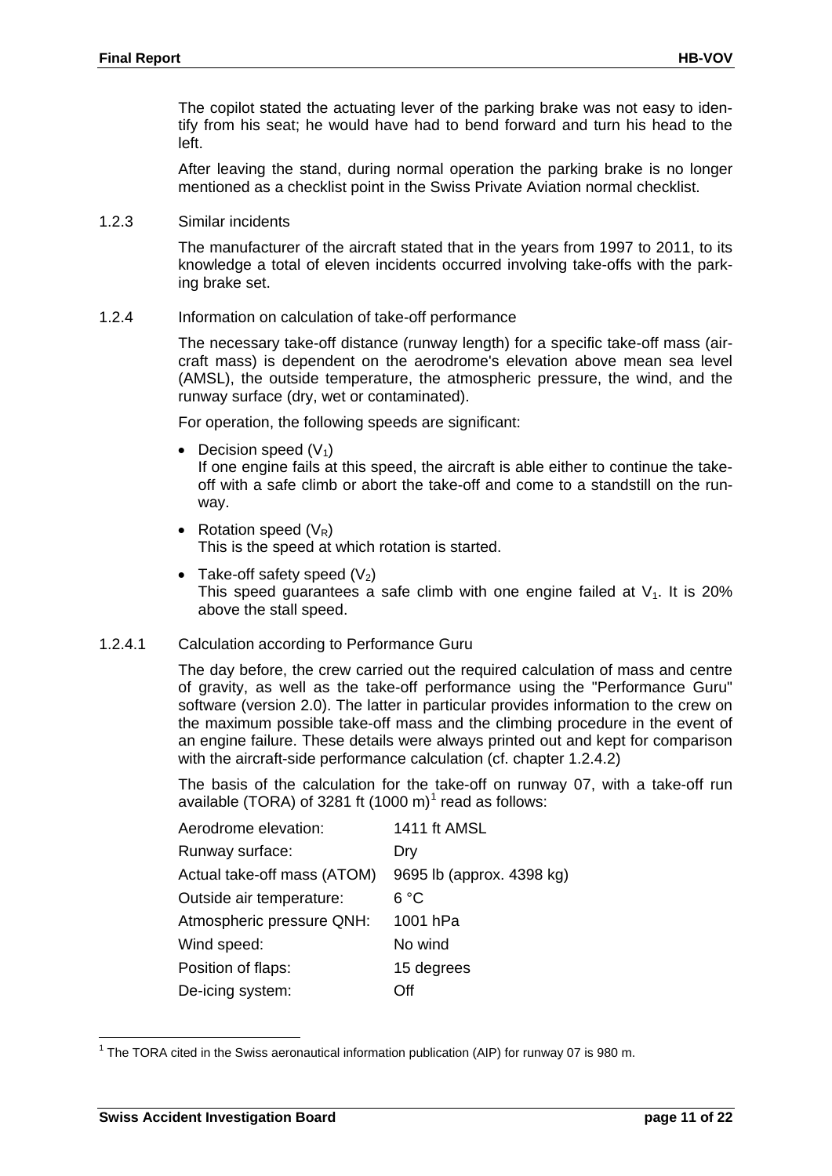The copilot stated the actuating lever of the parking brake was not easy to identify from his seat; he would have had to bend forward and turn his head to the left.

After leaving the stand, during normal operation the parking brake is no longer mentioned as a checklist point in the Swiss Private Aviation normal checklist.

1.2.3 Similar incidents

The manufacturer of the aircraft stated that in the years from 1997 to 2011, to its knowledge a total of eleven incidents occurred involving take-offs with the parking brake set.

1.2.4 Information on calculation of take-off performance

The necessary take-off distance (runway length) for a specific take-off mass (aircraft mass) is dependent on the aerodrome's elevation above mean sea level (AMSL), the outside temperature, the atmospheric pressure, the wind, and the runway surface (dry, wet or contaminated).

For operation, the following speeds are significant:

• Decision speed  $(V_1)$ 

If one engine fails at this speed, the aircraft is able either to continue the takeoff with a safe climb or abort the take-off and come to a standstill on the runway.

- Rotation speed  $(V_R)$ This is the speed at which rotation is started.
- Take-off safety speed  $(V_2)$ This speed quarantees a safe climb with one engine failed at  $V_1$ . It is 20% above the stall speed.

#### 1.2.4.1 Calculation according to Performance Guru

The day before, the crew carried out the required calculation of mass and centre of gravity, as well as the take-off performance using the "Performance Guru" software (version 2.0). The latter in particular provides information to the crew on the maximum possible take-off mass and the climbing procedure in the event of an engine failure. These details were always printed out and kept for comparison with the aircraft-side performance calculation (cf. chapter 1.2.4.2)

The basis of the calculation for the take-off on runway 07, with a take-off run available (TORA) of 328[1](#page-10-0) ft (1000 m) $^{\rm 1}$  read as follows:

| Aerodrome elevation:        | 1411 ft AMSL              |
|-----------------------------|---------------------------|
| Runway surface:             | Dry                       |
| Actual take-off mass (ATOM) | 9695 lb (approx. 4398 kg) |
| Outside air temperature:    | 6 °C                      |
| Atmospheric pressure QNH:   | 1001 hPa                  |
| Wind speed:                 | No wind                   |
| Position of flaps:          | 15 degrees                |
| De-icing system:            | ∩ff                       |

<span id="page-10-0"></span> $1$  The TORA cited in the Swiss aeronautical information publication (AIP) for runway 07 is 980 m.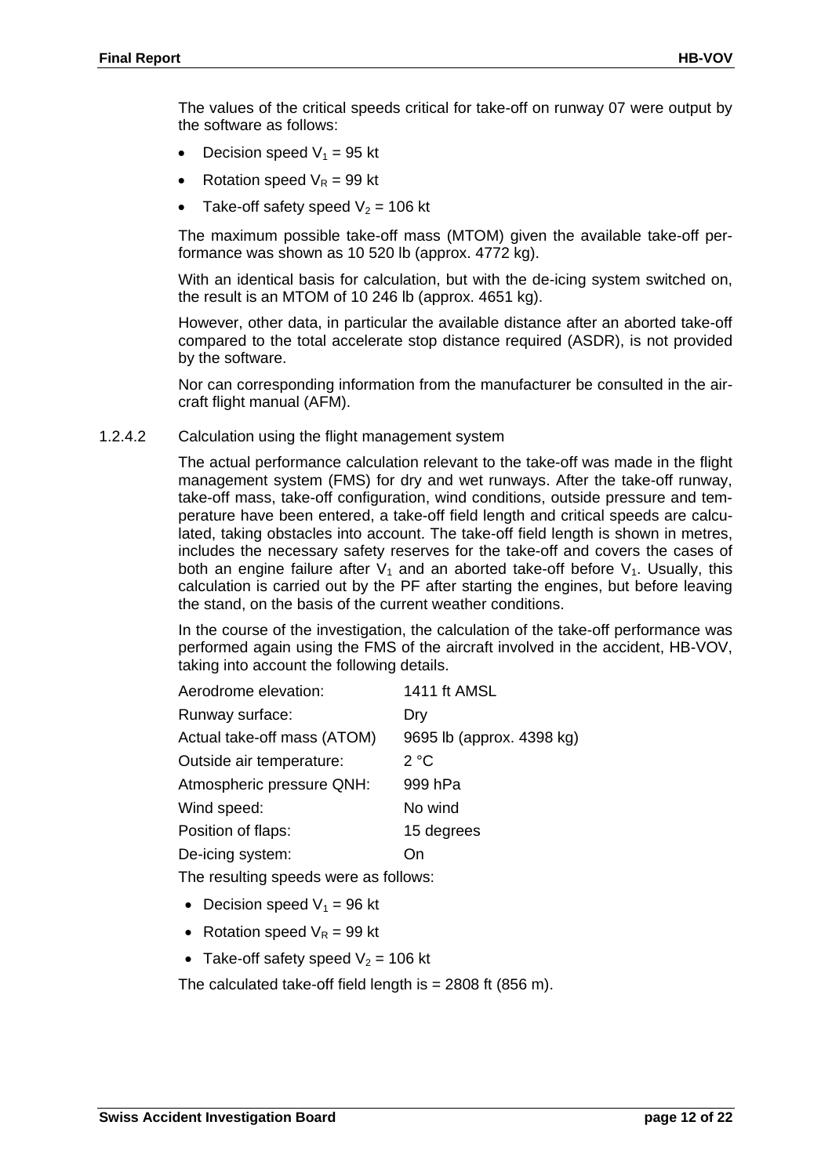The values of the critical speeds critical for take-off on runway 07 were output by the software as follows:

- Decision speed  $V_1$  = 95 kt
- Rotation speed  $V_R = 99$  kt
- Take-off safety speed  $V_2$  = 106 kt

The maximum possible take-off mass (MTOM) given the available take-off performance was shown as 10 520 lb (approx. 4772 kg).

With an identical basis for calculation, but with the de-icing system switched on, the result is an MTOM of 10 246 lb (approx. 4651 kg).

However, other data, in particular the available distance after an aborted take-off compared to the total accelerate stop distance required (ASDR), is not provided by the software.

Nor can corresponding information from the manufacturer be consulted in the aircraft flight manual (AFM).

#### 1.2.4.2 Calculation using the flight management system

The actual performance calculation relevant to the take-off was made in the flight management system (FMS) for dry and wet runways. After the take-off runway, take-off mass, take-off configuration, wind conditions, outside pressure and temperature have been entered, a take-off field length and critical speeds are calculated, taking obstacles into account. The take-off field length is shown in metres, includes the necessary safety reserves for the take-off and covers the cases of both an engine failure after  $V_1$  and an aborted take-off before  $V_1$ . Usually, this calculation is carried out by the PF after starting the engines, but before leaving the stand, on the basis of the current weather conditions.

In the course of the investigation, the calculation of the take-off performance was performed again using the FMS of the aircraft involved in the accident, HB-VOV, taking into account the following details.

| Aerodrome elevation:        | 1411 ft AMSL              |
|-----------------------------|---------------------------|
| Runway surface:             | Dry                       |
| Actual take-off mass (ATOM) | 9695 lb (approx. 4398 kg) |
| Outside air temperature:    | 2 °C                      |
| Atmospheric pressure QNH:   | 999 hPa                   |
| Wind speed:                 | No wind                   |
| Position of flaps:          | 15 degrees                |
| De-icing system:            | ้ )n                      |
|                             |                           |

The resulting speeds were as follows:

- Decision speed  $V_1$  = 96 kt
- Rotation speed  $V_R = 99$  kt
- Take-off safety speed  $V_2$  = 106 kt

The calculated take-off field length is = 2808 ft (856 m).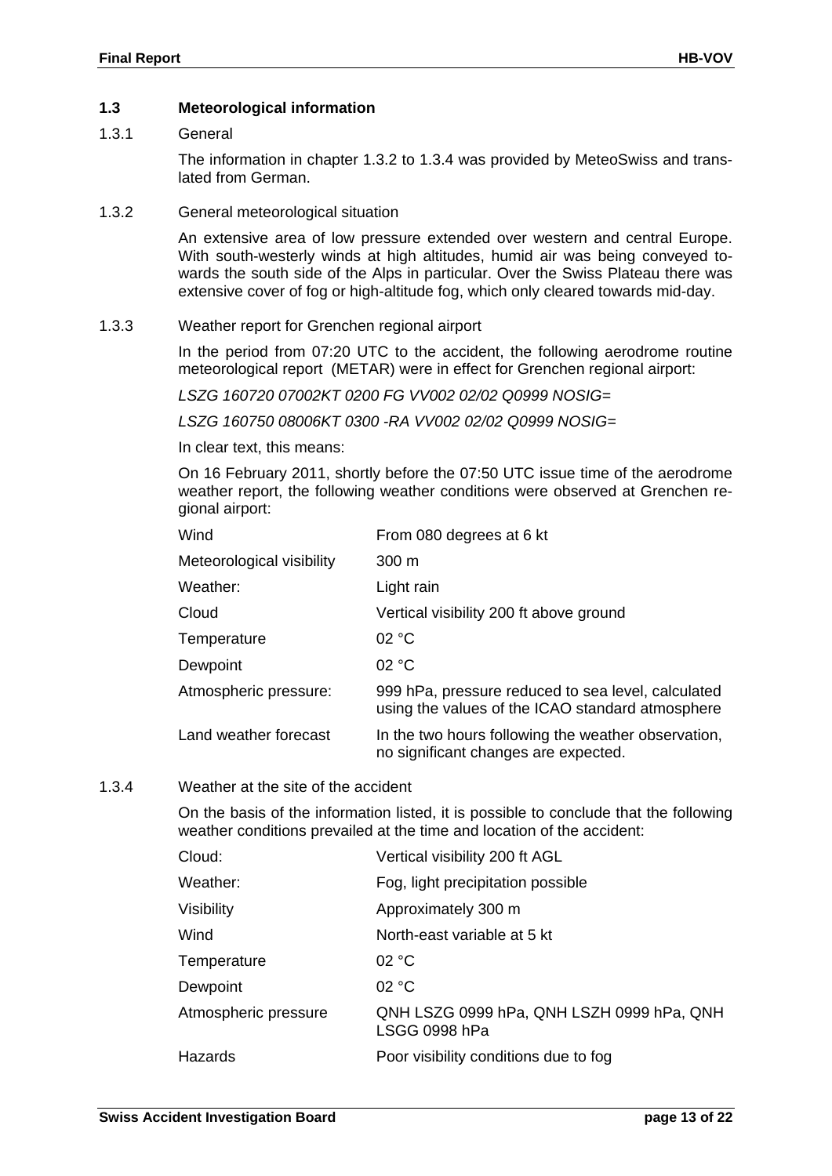#### **1.3 Meteorological information**

#### 1.3.1 General

The information in chapter [1.3.2](#page-12-0) to [1.3.4](#page-12-1) was provided by MeteoSwiss and translated from German.

#### <span id="page-12-0"></span>1.3.2 General meteorological situation

An extensive area of low pressure extended over western and central Europe. With south-westerly winds at high altitudes, humid air was being conveyed towards the south side of the Alps in particular. Over the Swiss Plateau there was extensive cover of fog or high-altitude fog, which only cleared towards mid-day.

#### 1.3.3 Weather report for Grenchen regional airport

In the period from 07:20 UTC to the accident, the following aerodrome routine meteorological report (METAR) were in effect for Grenchen regional airport:

*LSZG 160720 07002KT 0200 FG VV002 02/02 Q0999 NOSIG=*

*LSZG 160750 08006KT 0300 -RA VV002 02/02 Q0999 NOSIG=*

In clear text, this means:

On 16 February 2011, shortly before the 07:50 UTC issue time of the aerodrome weather report, the following weather conditions were observed at Grenchen regional airport:

| Wind                      | From 080 degrees at 6 kt                                                                               |
|---------------------------|--------------------------------------------------------------------------------------------------------|
| Meteorological visibility | 300 <sub>m</sub>                                                                                       |
| Weather:                  | Light rain                                                                                             |
| Cloud                     | Vertical visibility 200 ft above ground                                                                |
| Temperature               | 02 °C                                                                                                  |
| Dewpoint                  | 02 °C                                                                                                  |
| Atmospheric pressure:     | 999 hPa, pressure reduced to sea level, calculated<br>using the values of the ICAO standard atmosphere |
| Land weather forecast     | In the two hours following the weather observation,<br>no significant changes are expected.            |

#### <span id="page-12-1"></span>1.3.4 Weather at the site of the accident

On the basis of the information listed, it is possible to conclude that the following weather conditions prevailed at the time and location of the accident:

| Cloud:               | Vertical visibility 200 ft AGL                             |
|----------------------|------------------------------------------------------------|
| Weather:             | Fog, light precipitation possible                          |
| Visibility           | Approximately 300 m                                        |
| Wind                 | North-east variable at 5 kt                                |
| Temperature          | 02 °C                                                      |
| Dewpoint             | 02 °C                                                      |
| Atmospheric pressure | QNH LSZG 0999 hPa, QNH LSZH 0999 hPa, QNH<br>LSGG 0998 hPa |
| Hazards              | Poor visibility conditions due to fog                      |
|                      |                                                            |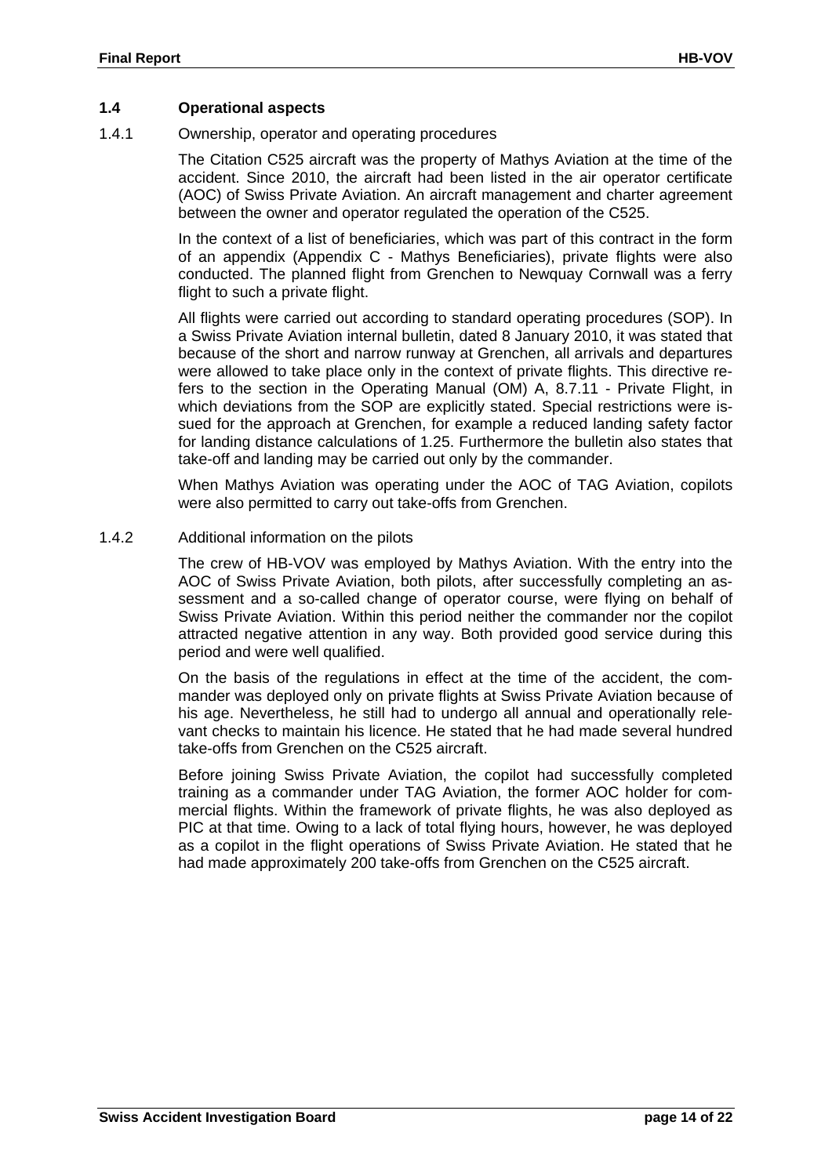#### **1.4 Operational aspects**

<span id="page-13-0"></span>1.4.1 Ownership, operator and operating procedures

The Citation C525 aircraft was the property of Mathys Aviation at the time of the accident. Since 2010, the aircraft had been listed in the air operator certificate (AOC) of Swiss Private Aviation. An aircraft management and charter agreement between the owner and operator regulated the operation of the C525.

In the context of a list of beneficiaries, which was part of this contract in the form of an appendix (Appendix C - Mathys Beneficiaries), private flights were also conducted. The planned flight from Grenchen to Newquay Cornwall was a ferry flight to such a private flight.

All flights were carried out according to standard operating procedures (SOP). In a Swiss Private Aviation internal bulletin, dated 8 January 2010, it was stated that because of the short and narrow runway at Grenchen, all arrivals and departures were allowed to take place only in the context of private flights. This directive refers to the section in the Operating Manual (OM) A, 8.7.11 - Private Flight, in which deviations from the SOP are explicitly stated. Special restrictions were issued for the approach at Grenchen, for example a reduced landing safety factor for landing distance calculations of 1.25. Furthermore the bulletin also states that take-off and landing may be carried out only by the commander.

When Mathys Aviation was operating under the AOC of TAG Aviation, copilots were also permitted to carry out take-offs from Grenchen.

#### 1.4.2 Additional information on the pilots

The crew of HB-VOV was employed by Mathys Aviation. With the entry into the AOC of Swiss Private Aviation, both pilots, after successfully completing an assessment and a so-called change of operator course, were flying on behalf of Swiss Private Aviation. Within this period neither the commander nor the copilot attracted negative attention in any way. Both provided good service during this period and were well qualified.

On the basis of the regulations in effect at the time of the accident, the commander was deployed only on private flights at Swiss Private Aviation because of his age. Nevertheless, he still had to undergo all annual and operationally relevant checks to maintain his licence. He stated that he had made several hundred take-offs from Grenchen on the C525 aircraft.

Before joining Swiss Private Aviation, the copilot had successfully completed training as a commander under TAG Aviation, the former AOC holder for commercial flights. Within the framework of private flights, he was also deployed as PIC at that time. Owing to a lack of total flying hours, however, he was deployed as a copilot in the flight operations of Swiss Private Aviation. He stated that he had made approximately 200 take-offs from Grenchen on the C525 aircraft.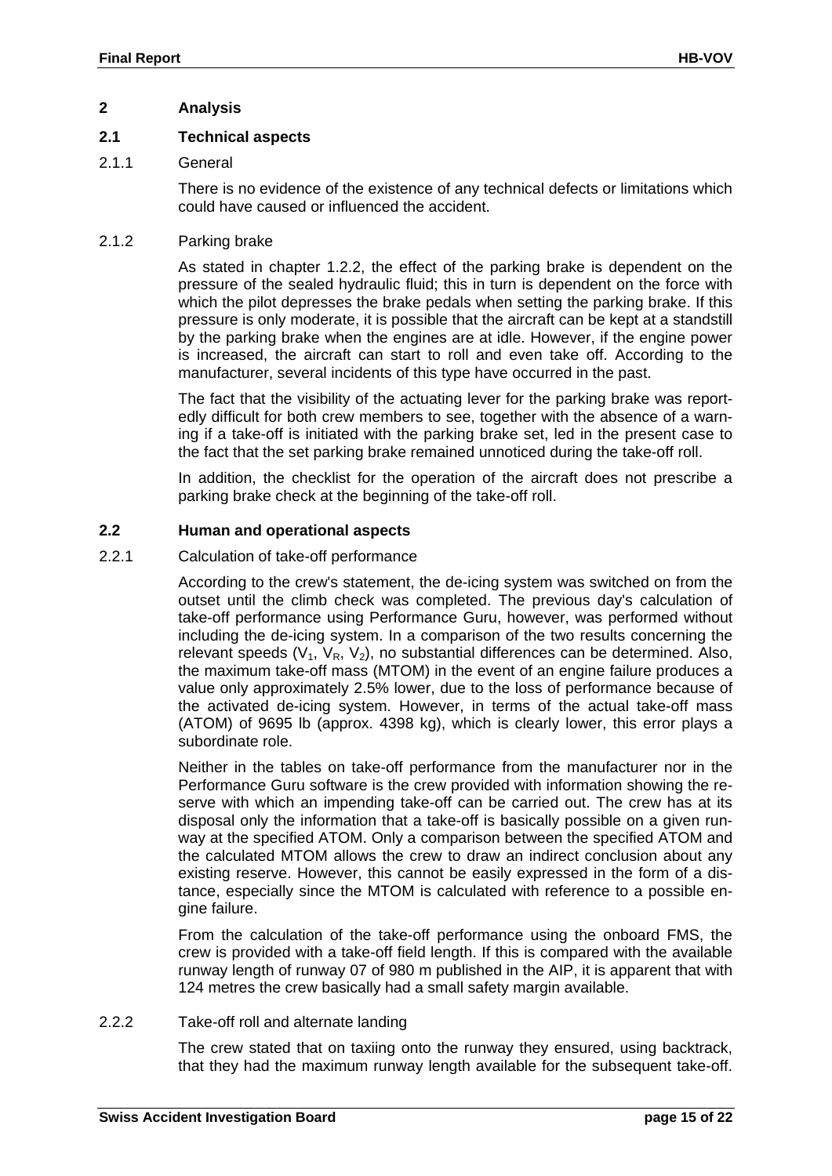#### **2 Analysis**

#### **2.1 Technical aspects**

#### 2.1.1 General

There is no evidence of the existence of any technical defects or limitations which could have caused or influenced the accident.

#### 2.1.2 Parking brake

As stated in chapter 1.2.2, the effect of the parking brake is dependent on the pressure of the sealed hydraulic fluid; this in turn is dependent on the force with which the pilot depresses the brake pedals when setting the parking brake. If this pressure is only moderate, it is possible that the aircraft can be kept at a standstill by the parking brake when the engines are at idle. However, if the engine power is increased, the aircraft can start to roll and even take off. According to the manufacturer, several incidents of this type have occurred in the past.

The fact that the visibility of the actuating lever for the parking brake was reportedly difficult for both crew members to see, together with the absence of a warning if a take-off is initiated with the parking brake set, led in the present case to the fact that the set parking brake remained unnoticed during the take-off roll.

In addition, the checklist for the operation of the aircraft does not prescribe a parking brake check at the beginning of the take-off roll.

#### **2.2 Human and operational aspects**

#### 2.2.1 Calculation of take-off performance

According to the crew's statement, the de-icing system was switched on from the outset until the climb check was completed. The previous day's calculation of take-off performance using Performance Guru, however, was performed without including the de-icing system. In a comparison of the two results concerning the relevant speeds  $(V_1, V_R, V_2)$ , no substantial differences can be determined. Also, the maximum take-off mass (MTOM) in the event of an engine failure produces a value only approximately 2.5% lower, due to the loss of performance because of the activated de-icing system. However, in terms of the actual take-off mass (ATOM) of 9695 lb (approx. 4398 kg), which is clearly lower, this error plays a subordinate role.

Neither in the tables on take-off performance from the manufacturer nor in the Performance Guru software is the crew provided with information showing the reserve with which an impending take-off can be carried out. The crew has at its disposal only the information that a take-off is basically possible on a given runway at the specified ATOM. Only a comparison between the specified ATOM and the calculated MTOM allows the crew to draw an indirect conclusion about any existing reserve. However, this cannot be easily expressed in the form of a distance, especially since the MTOM is calculated with reference to a possible engine failure.

From the calculation of the take-off performance using the onboard FMS, the crew is provided with a take-off field length. If this is compared with the available runway length of runway 07 of 980 m published in the AIP, it is apparent that with 124 metres the crew basically had a small safety margin available.

#### 2.2.2 Take-off roll and alternate landing

The crew stated that on taxiing onto the runway they ensured, using backtrack, that they had the maximum runway length available for the subsequent take-off.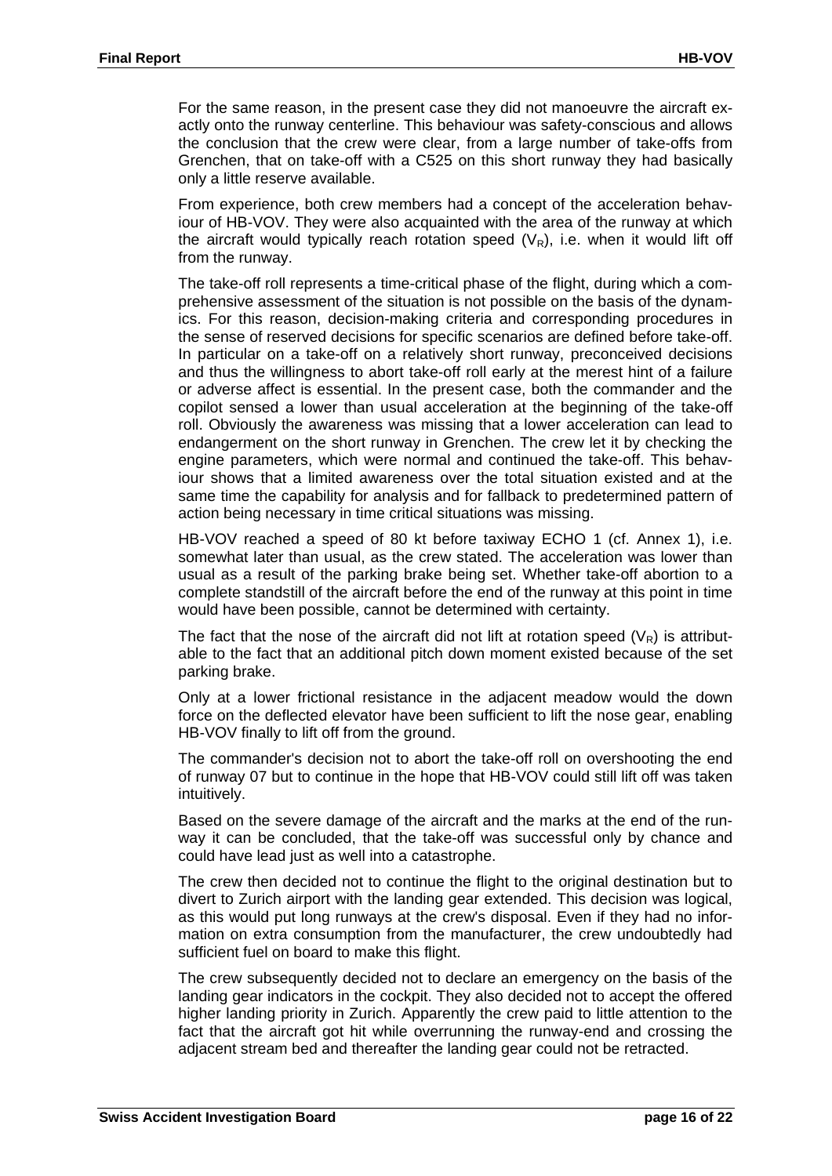For the same reason, in the present case they did not manoeuvre the aircraft exactly onto the runway centerline. This behaviour was safety-conscious and allows the conclusion that the crew were clear, from a large number of take-offs from Grenchen, that on take-off with a C525 on this short runway they had basically only a little reserve available.

From experience, both crew members had a concept of the acceleration behaviour of HB-VOV. They were also acquainted with the area of the runway at which the aircraft would typically reach rotation speed  $(V_R)$ , i.e. when it would lift off from the runway.

The take-off roll represents a time-critical phase of the flight, during which a comprehensive assessment of the situation is not possible on the basis of the dynamics. For this reason, decision-making criteria and corresponding procedures in the sense of reserved decisions for specific scenarios are defined before take-off. In particular on a take-off on a relatively short runway, preconceived decisions and thus the willingness to abort take-off roll early at the merest hint of a failure or adverse affect is essential. In the present case, both the commander and the copilot sensed a lower than usual acceleration at the beginning of the take-off roll. Obviously the awareness was missing that a lower acceleration can lead to endangerment on the short runway in Grenchen. The crew let it by checking the engine parameters, which were normal and continued the take-off. This behaviour shows that a limited awareness over the total situation existed and at the same time the capability for analysis and for fallback to predetermined pattern of action being necessary in time critical situations was missing.

HB-VOV reached a speed of 80 kt before taxiway ECHO 1 (cf. [Annex 1\)](#page-21-0), i.e. somewhat later than usual, as the crew stated. The acceleration was lower than usual as a result of the parking brake being set. Whether take-off abortion to a complete standstill of the aircraft before the end of the runway at this point in time would have been possible, cannot be determined with certainty.

The fact that the nose of the aircraft did not lift at rotation speed  $(V_R)$  is attributable to the fact that an additional pitch down moment existed because of the set parking brake.

Only at a lower frictional resistance in the adjacent meadow would the down force on the deflected elevator have been sufficient to lift the nose gear, enabling HB-VOV finally to lift off from the ground.

The commander's decision not to abort the take-off roll on overshooting the end of runway 07 but to continue in the hope that HB-VOV could still lift off was taken intuitively.

Based on the severe damage of the aircraft and the marks at the end of the runway it can be concluded, that the take-off was successful only by chance and could have lead just as well into a catastrophe.

The crew then decided not to continue the flight to the original destination but to divert to Zurich airport with the landing gear extended. This decision was logical, as this would put long runways at the crew's disposal. Even if they had no information on extra consumption from the manufacturer, the crew undoubtedly had sufficient fuel on board to make this flight.

The crew subsequently decided not to declare an emergency on the basis of the landing gear indicators in the cockpit. They also decided not to accept the offered higher landing priority in Zurich. Apparently the crew paid to little attention to the fact that the aircraft got hit while overrunning the runway-end and crossing the adjacent stream bed and thereafter the landing gear could not be retracted.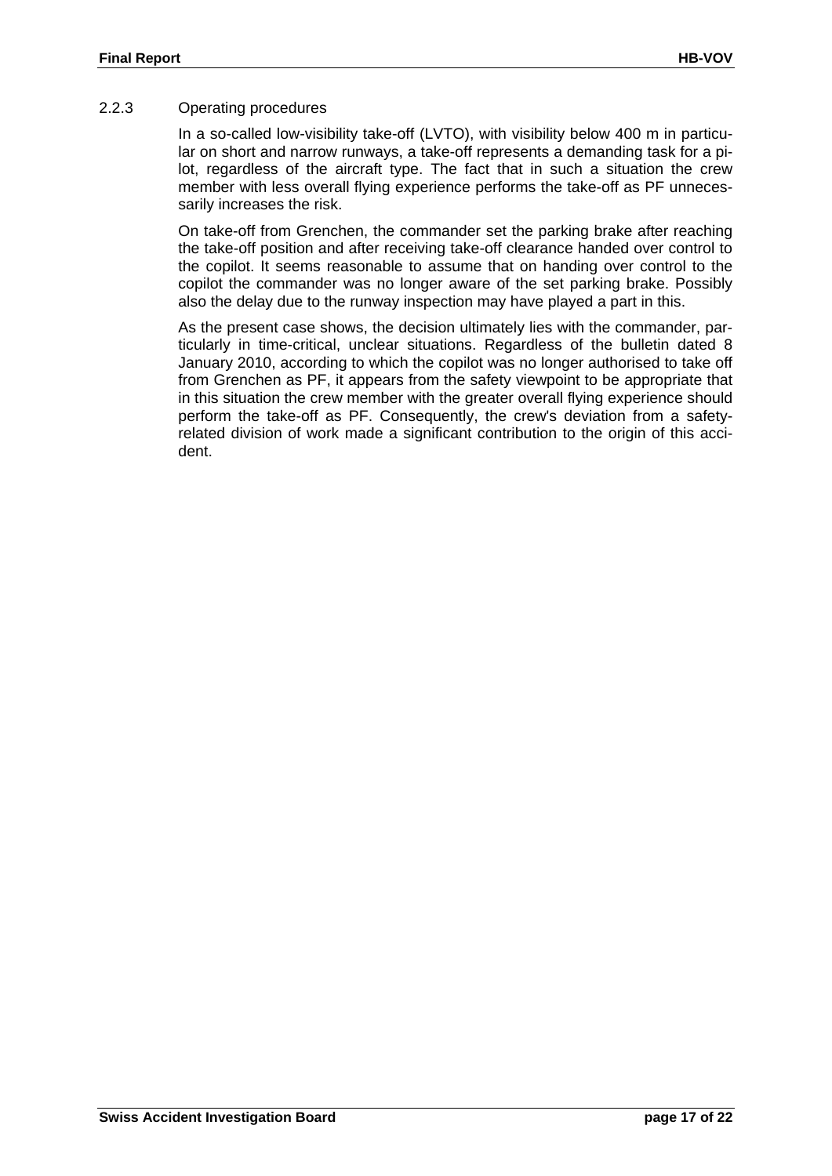#### 2.2.3 Operating procedures

In a so-called low-visibility take-off (LVTO), with visibility below 400 m in particular on short and narrow runways, a take-off represents a demanding task for a pilot, regardless of the aircraft type. The fact that in such a situation the crew member with less overall flying experience performs the take-off as PF unnecessarily increases the risk.

On take-off from Grenchen, the commander set the parking brake after reaching the take-off position and after receiving take-off clearance handed over control to the copilot. It seems reasonable to assume that on handing over control to the copilot the commander was no longer aware of the set parking brake. Possibly also the delay due to the runway inspection may have played a part in this.

As the present case shows, the decision ultimately lies with the commander, particularly in time-critical, unclear situations. Regardless of the bulletin dated 8 January 2010, according to which the copilot was no longer authorised to take off from Grenchen as PF, it appears from the safety viewpoint to be appropriate that in this situation the crew member with the greater overall flying experience should perform the take-off as PF. Consequently, the crew's deviation from a safetyrelated division of work made a significant contribution to the origin of this accident.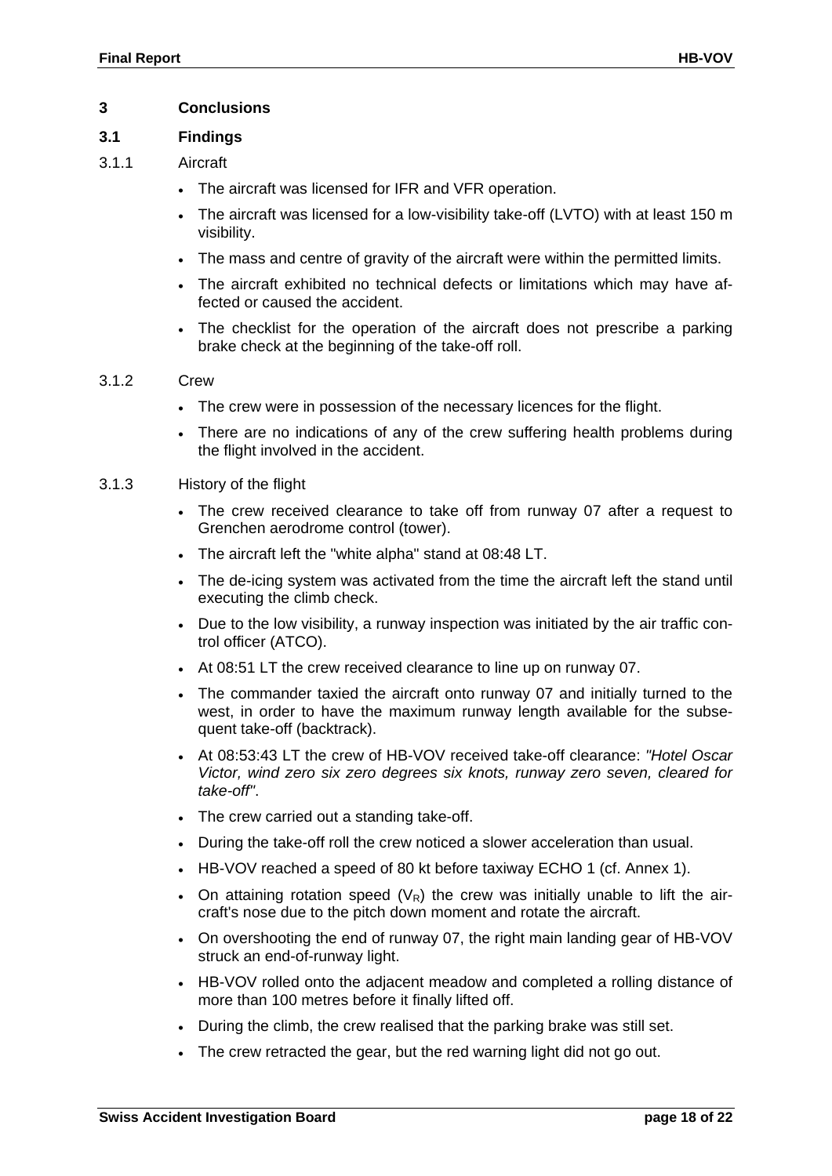#### **3 Conclusions**

#### **3.1 Findings**

#### 3.1.1 Aircraft

- The aircraft was licensed for IFR and VFR operation.
- The aircraft was licensed for a low-visibility take-off (LVTO) with at least 150 m visibility.
- The mass and centre of gravity of the aircraft were within the permitted limits.
- The aircraft exhibited no technical defects or limitations which may have affected or caused the accident.
- The checklist for the operation of the aircraft does not prescribe a parking brake check at the beginning of the take-off roll.

#### 3.1.2 Crew

- The crew were in possession of the necessary licences for the flight.
- There are no indications of any of the crew suffering health problems during the flight involved in the accident.
- 3.1.3 History of the flight
	- The crew received clearance to take off from runway 07 after a request to Grenchen aerodrome control (tower).
	- The aircraft left the "white alpha" stand at 08:48 LT.
	- The de-icing system was activated from the time the aircraft left the stand until executing the climb check.
	- Due to the low visibility, a runway inspection was initiated by the air traffic control officer (ATCO).
	- At 08:51 LT the crew received clearance to line up on runway 07.
	- The commander taxied the aircraft onto runway 07 and initially turned to the west, in order to have the maximum runway length available for the subsequent take-off (backtrack).
	- At 08:53:43 LT the crew of HB-VOV received take-off clearance: *"Hotel Oscar Victor, wind zero six zero degrees six knots, runway zero seven, cleared for take-off"*.
	- The crew carried out a standing take-off.
	- During the take-off roll the crew noticed a slower acceleration than usual.
	- HB-VOV reached a speed of 80 kt before taxiway ECHO 1 (cf. [Annex 1\)](#page-21-0).
	- On attaining rotation speed  $(V_R)$  the crew was initially unable to lift the aircraft's nose due to the pitch down moment and rotate the aircraft.
	- On overshooting the end of runway 07, the right main landing gear of HB-VOV struck an end-of-runway light.
	- HB-VOV rolled onto the adjacent meadow and completed a rolling distance of more than 100 metres before it finally lifted off.
	- During the climb, the crew realised that the parking brake was still set.
	- The crew retracted the gear, but the red warning light did not go out.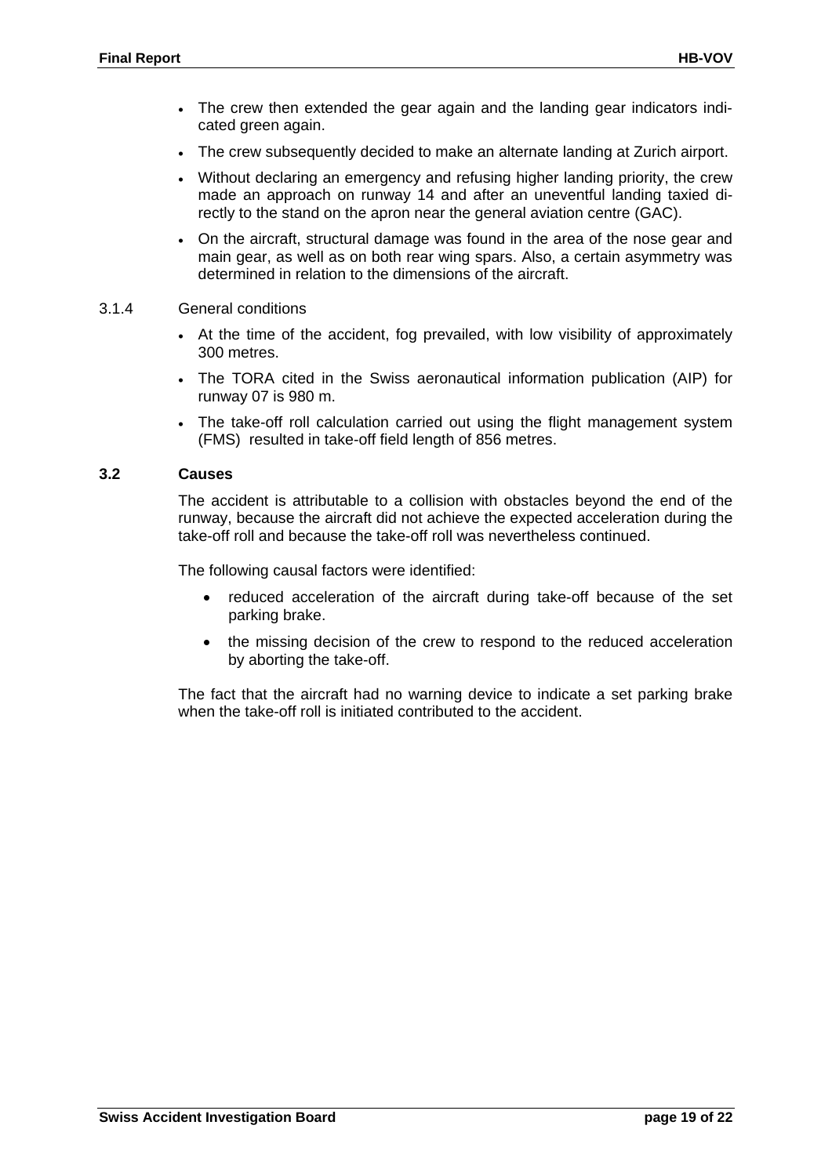- The crew then extended the gear again and the landing gear indicators indicated green again.
- The crew subsequently decided to make an alternate landing at Zurich airport.
- Without declaring an emergency and refusing higher landing priority, the crew made an approach on runway 14 and after an uneventful landing taxied directly to the stand on the apron near the general aviation centre (GAC).
- On the aircraft, structural damage was found in the area of the nose gear and main gear, as well as on both rear wing spars. Also, a certain asymmetry was determined in relation to the dimensions of the aircraft.
- 3.1.4 General conditions
	- At the time of the accident, fog prevailed, with low visibility of approximately 300 metres.
	- The TORA cited in the Swiss aeronautical information publication (AIP) for runway 07 is 980 m.
	- The take-off roll calculation carried out using the flight management system (FMS) resulted in take-off field length of 856 metres.

#### **3.2 Causes**

The accident is attributable to a collision with obstacles beyond the end of the runway, because the aircraft did not achieve the expected acceleration during the take-off roll and because the take-off roll was nevertheless continued.

The following causal factors were identified:

- reduced acceleration of the aircraft during take-off because of the set parking brake.
- the missing decision of the crew to respond to the reduced acceleration by aborting the take-off.

The fact that the aircraft had no warning device to indicate a set parking brake when the take-off roll is initiated contributed to the accident.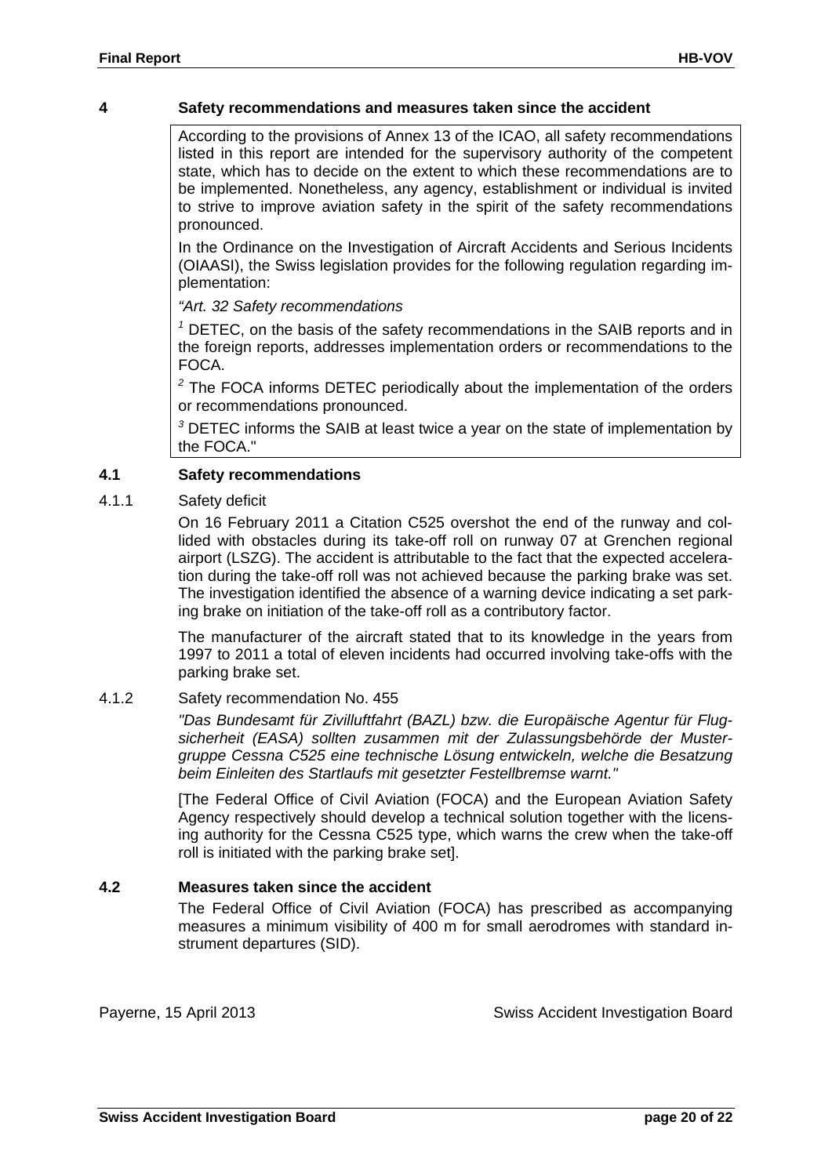#### **4 Safety recommendations and measures taken since the accident**

According to the provisions of Annex 13 of the ICAO, all safety recommendations listed in this report are intended for the supervisory authority of the competent state, which has to decide on the extent to which these recommendations are to be implemented. Nonetheless, any agency, establishment or individual is invited to strive to improve aviation safety in the spirit of the safety recommendations pronounced.

In the Ordinance on the Investigation of Aircraft Accidents and Serious Incidents (OIAASI), the Swiss legislation provides for the following regulation regarding implementation:

*"Art. 32 Safety recommendations*

*<sup>1</sup>* DETEC, on the basis of the safety recommendations in the SAIB reports and in the foreign reports, addresses implementation orders or recommendations to the FOCA.

*<sup>2</sup>* The FOCA informs DETEC periodically about the implementation of the orders or recommendations pronounced.

*<sup>3</sup>* DETEC informs the SAIB at least twice a year on the state of implementation by the FOCA."

#### **4.1 Safety recommendations**

#### 4.1.1 Safety deficit

On 16 February 2011 a Citation C525 overshot the end of the runway and collided with obstacles during its take-off roll on runway 07 at Grenchen regional airport (LSZG). The accident is attributable to the fact that the expected acceleration during the take-off roll was not achieved because the parking brake was set. The investigation identified the absence of a warning device indicating a set parking brake on initiation of the take-off roll as a contributory factor.

The manufacturer of the aircraft stated that to its knowledge in the years from 1997 to 2011 a total of eleven incidents had occurred involving take-offs with the parking brake set.

#### 4.1.2 Safety recommendation No. 455

*"Das Bundesamt für Zivilluftfahrt (BAZL) bzw. die Europäische Agentur für Flugsicherheit (EASA) sollten zusammen mit der Zulassungsbehörde der Mustergruppe Cessna C525 eine technische Lösung entwickeln, welche die Besatzung beim Einleiten des Startlaufs mit gesetzter Festellbremse warnt."*

[The Federal Office of Civil Aviation (FOCA) and the European Aviation Safety Agency respectively should develop a technical solution together with the licensing authority for the Cessna C525 type, which warns the crew when the take-off roll is initiated with the parking brake set].

#### **4.2 Measures taken since the accident**

The Federal Office of Civil Aviation (FOCA) has prescribed as accompanying measures a minimum visibility of 400 m for small aerodromes with standard instrument departures (SID).

Payerne, 15 April 2013 Swiss Accident Investigation Board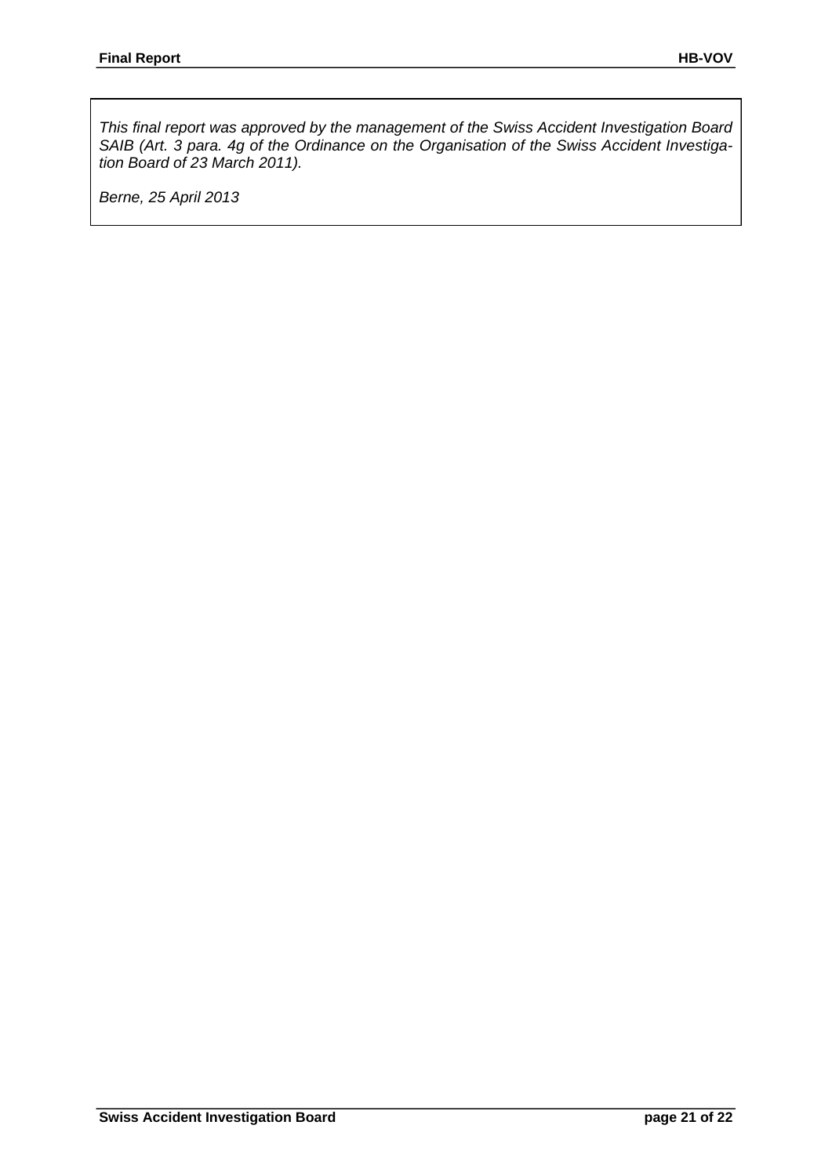*This final report was approved by the management of the Swiss Accident Investigation Board SAIB (Art. 3 para. 4g of the Ordinance on the Organisation of the Swiss Accident Investigation Board of 23 March 2011).*

*Berne, 25 April 2013*